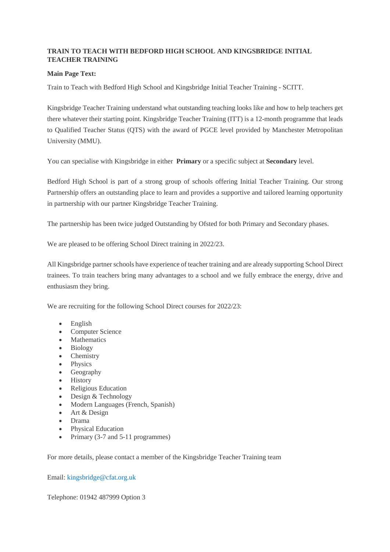## **TRAIN TO TEACH WITH BEDFORD HIGH SCHOOL AND KINGSBRIDGE INITIAL TEACHER TRAINING**

## **Main Page Text:**

Train to Teach with Bedford High School and Kingsbridge Initial Teacher Training - SCITT.

Kingsbridge Teacher Training understand what outstanding teaching looks like and how to help teachers get there whatever their starting point. Kingsbridge Teacher Training (ITT) is a 12-month programme that leads to Qualified Teacher Status (QTS) with the award of PGCE level provided by Manchester Metropolitan University (MMU).

You can specialise with Kingsbridge in either **Primary** or a specific subject at **Secondary** level.

Bedford High School is part of a strong group of schools offering Initial Teacher Training. Our strong Partnership offers an outstanding place to learn and provides a supportive and tailored learning opportunity in partnership with our partner Kingsbridge Teacher Training.

The partnership has been twice judged Outstanding by Ofsted for both Primary and Secondary phases.

We are pleased to be offering School Direct training in 2022/23.

All Kingsbridge partner schools have experience of teacher training and are already supporting School Direct trainees. To train teachers bring many advantages to a school and we fully embrace the energy, drive and enthusiasm they bring.

We are recruiting for the following School Direct courses for 2022/23:

- English
- Computer Science
- Mathematics
- Biology
- Chemistry
- Physics
- Geography
- History
- Religious Education
- Design & Technology
- Modern Languages (French, Spanish)
- Art & Design
- Drama
- Physical Education
- Primary  $(3-7 \text{ and } 5-11 \text{ programs})$

For more details, please contact a member of the Kingsbridge Teacher Training team

Email: [kingsbridge@cfat.org.uk](mailto:kingsbridge@cfat.org.uk)

Telephone: 01942 487999 Option 3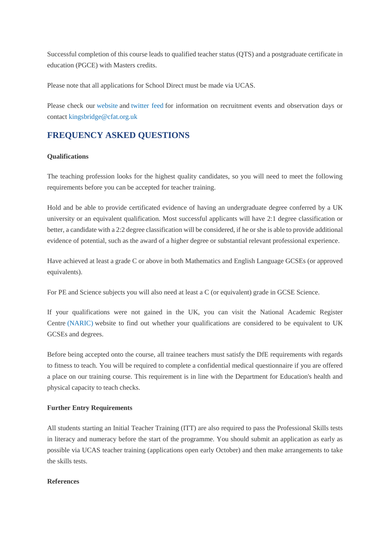Successful completion of this course leads to qualified teacher status (QTS) and a postgraduate certificate in education (PGCE) with Masters credits.

Please note that all applications for School Direct must be made via UCAS.

Please check our [website](http://www.kingsbridgeteachertraining.co.uk/) and [twitter feed](https://twitter.com/KingsbridgeEIP) for information on recruitment events and observation days or contact [kingsbridge@cfat.org.uk](mailto:kingsbridge@cfat.org.uk)

# **FREQUENCY ASKED QUESTIONS**

## **Qualifications**

The teaching profession looks for the highest quality candidates, so you will need to meet the following requirements before you can be accepted for teacher training.

Hold and be able to provide certificated evidence of having an undergraduate degree conferred by a UK university or an equivalent qualification. Most successful applicants will have 2:1 degree classification or better, a candidate with a 2:2 degree classification will be considered, if he or she is able to provide additional evidence of potential, such as the award of a higher degree or substantial relevant professional experience.

Have achieved at least a grade C or above in both Mathematics and English Language GCSEs (or approved equivalents).

For PE and Science subjects you will also need at least a C (or equivalent) grade in GCSE Science.

If your qualifications were not gained in the UK, you can visit the National Academic Register Centre [\(NARIC\)](https://www.naric.org.uk/naric/) website to find out whether your qualifications are considered to be equivalent to UK GCSEs and degrees.

Before being accepted onto the course, all trainee teachers must satisfy the DfE requirements with regards to fitness to teach. You will be required to complete a confidential medical questionnaire if you are offered a place on our training course. This requirement is in line with the Department for Education's health and physical capacity to teach checks.

#### **Further Entry Requirements**

All students starting an Initial Teacher Training (ITT) are also required to pass the Professional Skills tests in literacy and numeracy before the start of the programme. You should submit an application as early as possible via UCAS teacher training (applications open early October) and then make arrangements to take the skills tests.

#### **References**